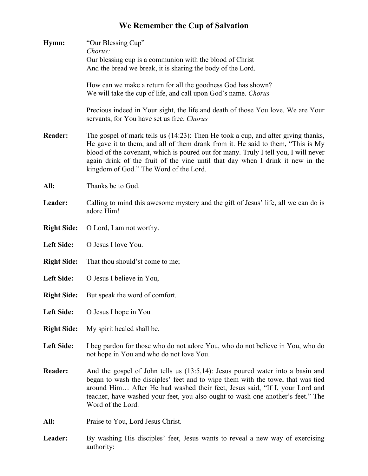## **We Remember the Cup of Salvation**

| Hymn:              | "Our Blessing Cup"<br>Chorus:<br>Our blessing cup is a communion with the blood of Christ                                                                                                                                                                                                                                                                                               |
|--------------------|-----------------------------------------------------------------------------------------------------------------------------------------------------------------------------------------------------------------------------------------------------------------------------------------------------------------------------------------------------------------------------------------|
|                    | And the bread we break, it is sharing the body of the Lord.                                                                                                                                                                                                                                                                                                                             |
|                    | How can we make a return for all the goodness God has shown?<br>We will take the cup of life, and call upon God's name. Chorus                                                                                                                                                                                                                                                          |
|                    | Precious indeed in Your sight, the life and death of those You love. We are Your<br>servants, for You have set us free. Chorus                                                                                                                                                                                                                                                          |
| <b>Reader:</b>     | The gospel of mark tells us (14:23): Then He took a cup, and after giving thanks,<br>He gave it to them, and all of them drank from it. He said to them, "This is My<br>blood of the covenant, which is poured out for many. Truly I tell you, I will never<br>again drink of the fruit of the vine until that day when I drink it new in the<br>kingdom of God." The Word of the Lord. |
| All:               | Thanks be to God.                                                                                                                                                                                                                                                                                                                                                                       |
| Leader:            | Calling to mind this awesome mystery and the gift of Jesus' life, all we can do is<br>adore Him!                                                                                                                                                                                                                                                                                        |
| <b>Right Side:</b> | O Lord, I am not worthy.                                                                                                                                                                                                                                                                                                                                                                |
| <b>Left Side:</b>  | O Jesus I love You.                                                                                                                                                                                                                                                                                                                                                                     |
| <b>Right Side:</b> | That thou should'st come to me;                                                                                                                                                                                                                                                                                                                                                         |
| <b>Left Side:</b>  | O Jesus I believe in You,                                                                                                                                                                                                                                                                                                                                                               |
| <b>Right Side:</b> | But speak the word of comfort.                                                                                                                                                                                                                                                                                                                                                          |
| <b>Left Side:</b>  | O Jesus I hope in You                                                                                                                                                                                                                                                                                                                                                                   |
| <b>Right Side:</b> | My spirit healed shall be.                                                                                                                                                                                                                                                                                                                                                              |
| <b>Left Side:</b>  | I beg pardon for those who do not adore You, who do not believe in You, who do<br>not hope in You and who do not love You.                                                                                                                                                                                                                                                              |
| <b>Reader:</b>     | And the gospel of John tells us $(13:5,14)$ : Jesus poured water into a basin and<br>began to wash the disciples' feet and to wipe them with the towel that was tied<br>around Him After He had washed their feet, Jesus said, "If I, your Lord and<br>teacher, have washed your feet, you also ought to wash one another's feet." The<br>Word of the Lord.                             |
| All:               | Praise to You, Lord Jesus Christ.                                                                                                                                                                                                                                                                                                                                                       |
| Leader:            | By washing His disciples' feet, Jesus wants to reveal a new way of exercising<br>authority:                                                                                                                                                                                                                                                                                             |